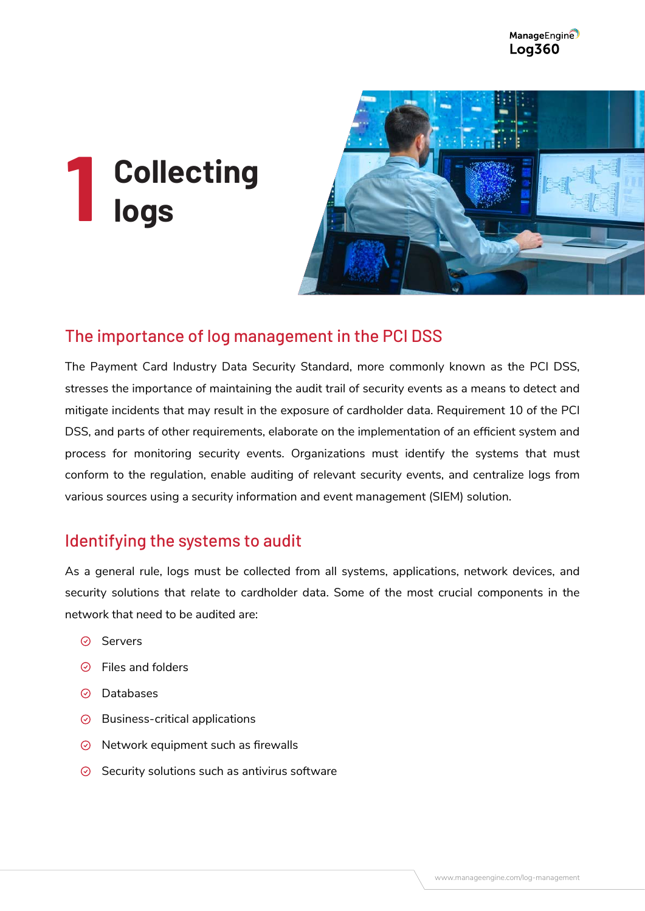# **Collecting logs 1**



## The importance of log management in the PCI DSS

The Payment Card Industry Data Security Standard, more commonly known as the PCI DSS, stresses the importance of maintaining the audit trail of security events as a means to detect and mitigate incidents that may result in the exposure of cardholder data. Requirement 10 of the PCI DSS, and parts of other requirements, elaborate on the implementation of an efficient system and process for monitoring security events. Organizations must identify the systems that must conform to the regulation, enable auditing of relevant security events, and centralize logs from various sources using a security information and event management (SIEM) solution.

### Identifying the systems to audit

As a general rule, logs must be collected from all systems, applications, network devices, and security solutions that relate to cardholder data. Some of the most crucial components in the network that need to be audited are:

- ⊙ Servers
- $\odot$  Files and folders
- ⊙ Databases
- $\odot$  Business-critical applications
- $\odot$  Network equipment such as firewalls
- $\odot$  Security solutions such as antivirus software